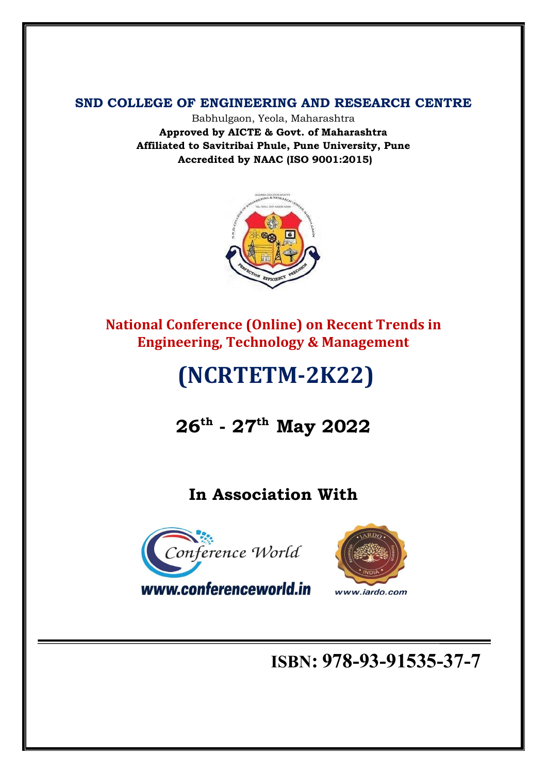**SND COLLEGE OF ENGINEERING AND RESEARCH CENTRE**

Babhulgaon, Yeola, Maharashtra **Approved by AICTE & Govt. of Maharashtra Affiliated to Savitribai Phule, Pune University, Pune Accredited by NAAC (ISO 9001:2015)**



**National Conference (Online) on Recent Trends in Engineering, Technology & Management**

# **(NCRTETM-2K22)**

# **26th - 27th May 2022**

## **In Association With**





www.conferenceworld.in

## **ISBN: 978-93-91535-37-7**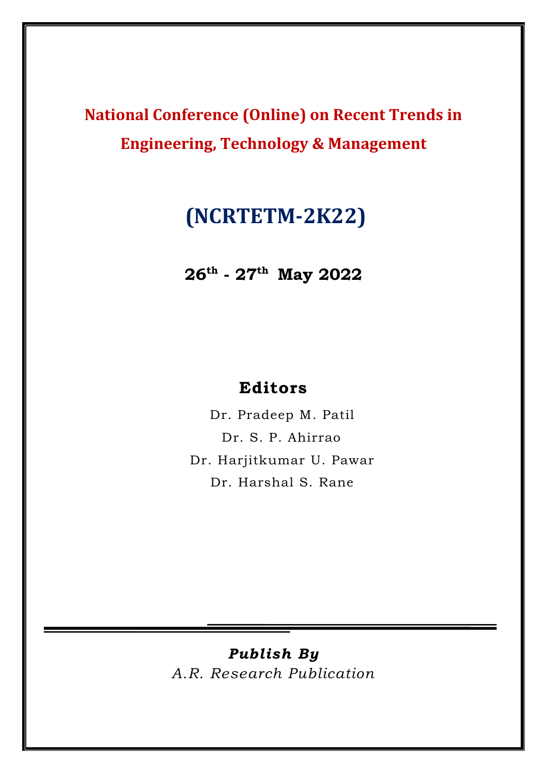**National Conference (Online) on Recent Trends in Engineering, Technology & Management**

## **(NCRTETM-2K22)**

**26th - 27th May 2022**

## **Editors**

Dr. Pradeep M. Patil Dr. S. P. Ahirrao Dr. Harjitkumar U. Pawar Dr. Harshal S. Rane

## *Publish By*

*A.R. Research Publication*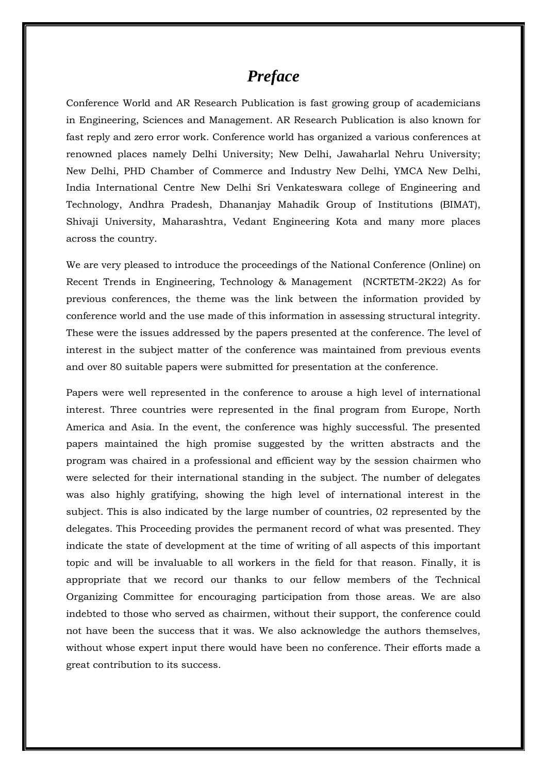## *Preface*

Conference World and AR Research Publication is fast growing group of academicians in Engineering, Sciences and Management. AR Research Publication is also known for fast reply and zero error work. Conference world has organized a various conferences at renowned places namely Delhi University; New Delhi, Jawaharlal Nehru University; New Delhi, PHD Chamber of Commerce and Industry New Delhi, YMCA New Delhi, India International Centre New Delhi Sri Venkateswara college of Engineering and Technology, Andhra Pradesh, Dhananjay Mahadik Group of Institutions (BIMAT), Shivaji University, Maharashtra, Vedant Engineering Kota and many more places across the country.

We are very pleased to introduce the proceedings of the National Conference (Online) on Recent Trends in Engineering, Technology & Management (NCRTETM-2K22) As for previous conferences, the theme was the link between the information provided by conference world and the use made of this information in assessing structural integrity. These were the issues addressed by the papers presented at the conference. The level of interest in the subject matter of the conference was maintained from previous events and over 80 suitable papers were submitted for presentation at the conference.

Papers were well represented in the conference to arouse a high level of international interest. Three countries were represented in the final program from Europe, North America and Asia. In the event, the conference was highly successful. The presented papers maintained the high promise suggested by the written abstracts and the program was chaired in a professional and efficient way by the session chairmen who were selected for their international standing in the subject. The number of delegates was also highly gratifying, showing the high level of international interest in the subject. This is also indicated by the large number of countries, 02 represented by the delegates. This Proceeding provides the permanent record of what was presented. They indicate the state of development at the time of writing of all aspects of this important topic and will be invaluable to all workers in the field for that reason. Finally, it is appropriate that we record our thanks to our fellow members of the Technical Organizing Committee for encouraging participation from those areas. We are also indebted to those who served as chairmen, without their support, the conference could not have been the success that it was. We also acknowledge the authors themselves, without whose expert input there would have been no conference. Their efforts made a great contribution to its success.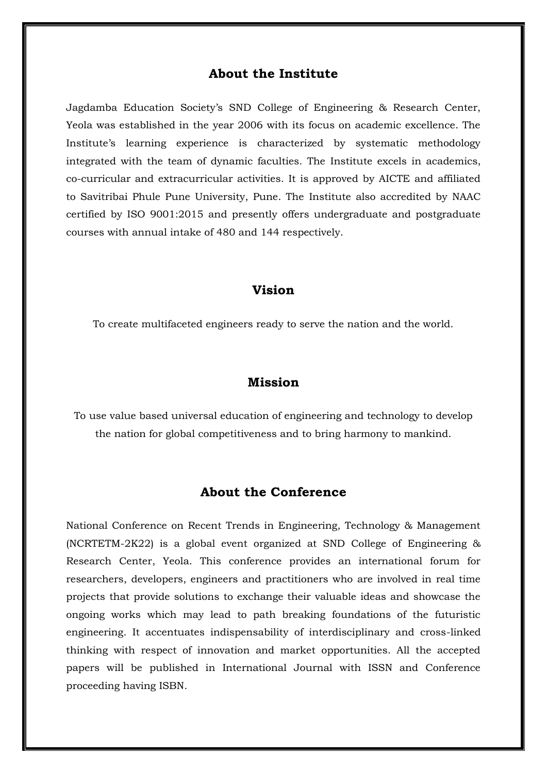#### **About the Institute**

Jagdamba Education Society's SND College of Engineering & Research Center, Yeola was established in the year 2006 with its focus on academic excellence. The Institute's learning experience is characterized by systematic methodology integrated with the team of dynamic faculties. The Institute excels in academics, co-curricular and extracurricular activities. It is approved by AICTE and affiliated to Savitribai Phule Pune University, Pune. The Institute also accredited by NAAC certified by ISO 9001:2015 and presently offers undergraduate and postgraduate courses with annual intake of 480 and 144 respectively.

#### **Vision**

To create multifaceted engineers ready to serve the nation and the world.

#### **Mission**

To use value based universal education of engineering and technology to develop the nation for global competitiveness and to bring harmony to mankind.

#### **About the Conference**

National Conference on Recent Trends in Engineering, Technology & Management (NCRTETM-2K22) is a global event organized at SND College of Engineering & Research Center, Yeola. This conference provides an international forum for researchers, developers, engineers and practitioners who are involved in real time projects that provide solutions to exchange their valuable ideas and showcase the ongoing works which may lead to path breaking foundations of the futuristic engineering. It accentuates indispensability of interdisciplinary and cross-linked thinking with respect of innovation and market opportunities. All the accepted papers will be published in International Journal with ISSN and Conference proceeding having ISBN.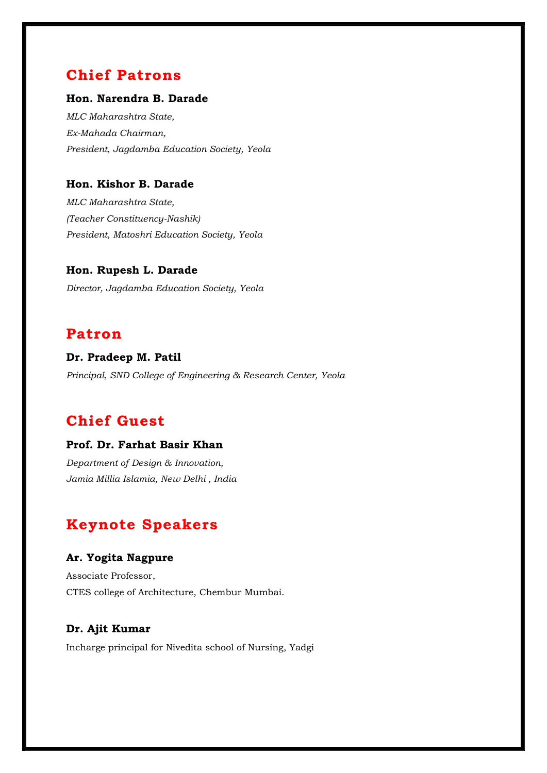## **Chief Patrons**

#### **Hon. Narendra B. Darade**

*MLC Maharashtra State, Ex-Mahada Chairman, President, Jagdamba Education Society, Yeola*

#### **Hon. Kishor B. Darade**

*MLC Maharashtra State, (Teacher Constituency-Nashik) President, Matoshri Education Society, Yeola*

#### **Hon. Rupesh L. Darade**

*Director, Jagdamba Education Society, Yeola*

### **Patron**

**Dr. Pradeep M. Patil**  *Principal, SND College of Engineering & Research Center, Yeola*

## **Chief Guest**

#### **Prof. Dr. Farhat Basir Khan**

*Department of Design & Innovation, Jamia Millia Islamia, New Delhi , India*

## **Keynote Speakers**

#### **Ar. Yogita Nagpure**

Associate Professor, CTES college of Architecture, Chembur Mumbai.

#### **Dr. Ajit Kumar**

Incharge principal for Nivedita school of Nursing, Yadgi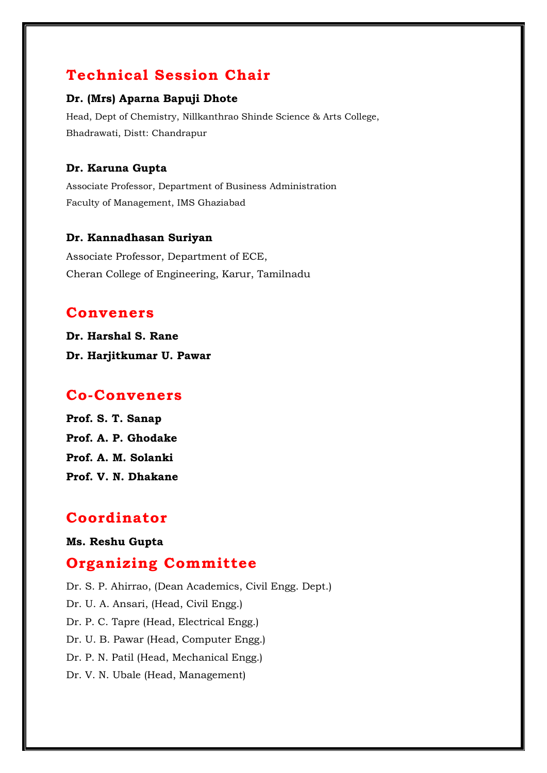## **Technical Session Chair**

#### **Dr. (Mrs) Aparna Bapuji Dhote**

Head, Dept of Chemistry, Nillkanthrao Shinde Science & Arts College, Bhadrawati, Distt: Chandrapur

#### **Dr. Karuna Gupta**

Associate Professor, Department of Business Administration Faculty of Management, IMS Ghaziabad

#### **Dr. Kannadhasan Suriyan**

Associate Professor, Department of ECE, Cheran College of Engineering, Karur, Tamilnadu

### **Conveners**

**Dr. Harshal S. Rane Dr. Harjitkumar U. Pawar** 

### **Co-Conveners**

**Prof. S. T. Sanap Prof. A. P. Ghodake Prof. A. M. Solanki Prof. V. N. Dhakane**

## **Coordinator**

#### **Ms. Reshu Gupta**

### **Organizing Committee**

Dr. S. P. Ahirrao, (Dean Academics, Civil Engg. Dept.) Dr. U. A. Ansari, (Head, Civil Engg.) Dr. P. C. Tapre (Head, Electrical Engg.) Dr. U. B. Pawar (Head, Computer Engg.) Dr. P. N. Patil (Head, Mechanical Engg.) Dr. V. N. Ubale (Head, Management)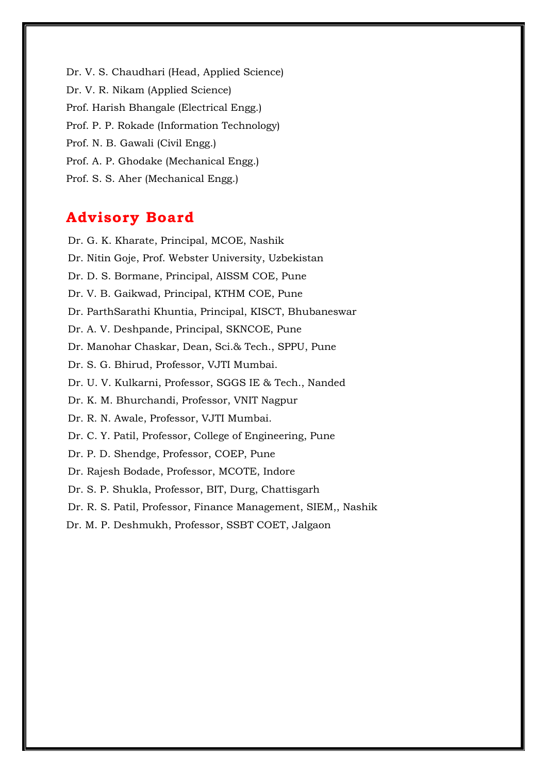Dr. V. S. Chaudhari (Head, Applied Science) Dr. V. R. Nikam (Applied Science) Prof. Harish Bhangale (Electrical Engg.) Prof. P. P. Rokade (Information Technology) Prof. N. B. Gawali (Civil Engg.) Prof. A. P. Ghodake (Mechanical Engg.) Prof. S. S. Aher (Mechanical Engg.)

## **Advisory Board**

Dr. G. K. Kharate, Principal, MCOE, Nashik Dr. Nitin Goje, Prof. Webster University, Uzbekistan Dr. D. S. Bormane, Principal, AISSM COE, Pune Dr. V. B. Gaikwad, Principal, KTHM COE, Pune Dr. ParthSarathi Khuntia, Principal, KISCT, Bhubaneswar Dr. A. V. Deshpande, Principal, SKNCOE, Pune Dr. Manohar Chaskar, Dean, Sci.& Tech., SPPU, Pune Dr. S. G. Bhirud, Professor, VJTI Mumbai. Dr. U. V. Kulkarni, Professor, SGGS IE & Tech., Nanded Dr. K. M. Bhurchandi, Professor, VNIT Nagpur Dr. R. N. Awale, Professor, VJTI Mumbai. Dr. C. Y. Patil, Professor, College of Engineering, Pune Dr. P. D. Shendge, Professor, COEP, Pune Dr. Rajesh Bodade, Professor, MCOTE, Indore Dr. S. P. Shukla, Professor, BIT, Durg, Chattisgarh Dr. R. S. Patil, Professor, Finance Management, SIEM,, Nashik Dr. M. P. Deshmukh, Professor, SSBT COET, Jalgaon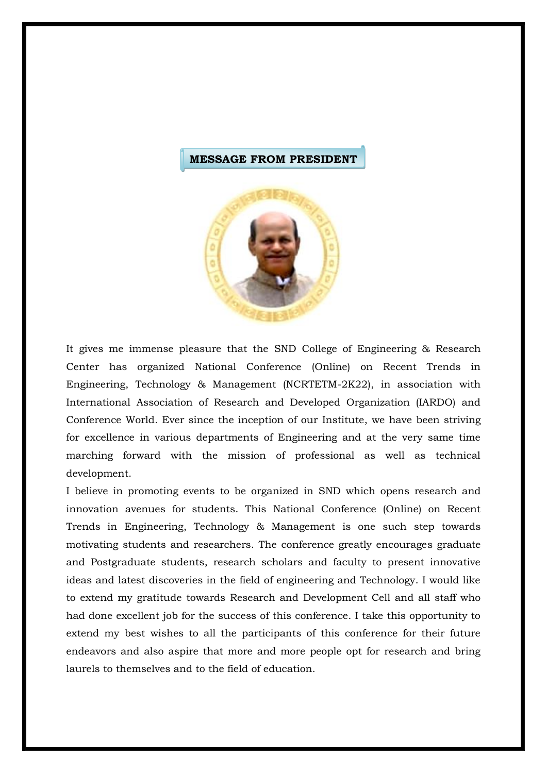#### **MESSAGE FROM PRESIDENT**



It gives me immense pleasure that the SND College of Engineering & Research Center has organized National Conference (Online) on Recent Trends in Engineering, Technology & Management (NCRTETM-2K22), in association with International Association of Research and Developed Organization (IARDO) and Conference World. Ever since the inception of our Institute, we have been striving for excellence in various departments of Engineering and at the very same time marching forward with the mission of professional as well as technical development.

I believe in promoting events to be organized in SND which opens research and innovation avenues for students. This National Conference (Online) on Recent Trends in Engineering, Technology & Management is one such step towards motivating students and researchers. The conference greatly encourages graduate and Postgraduate students, research scholars and faculty to present innovative ideas and latest discoveries in the field of engineering and Technology. I would like to extend my gratitude towards Research and Development Cell and all staff who had done excellent job for the success of this conference. I take this opportunity to extend my best wishes to all the participants of this conference for their future endeavors and also aspire that more and more people opt for research and bring laurels to themselves and to the field of education.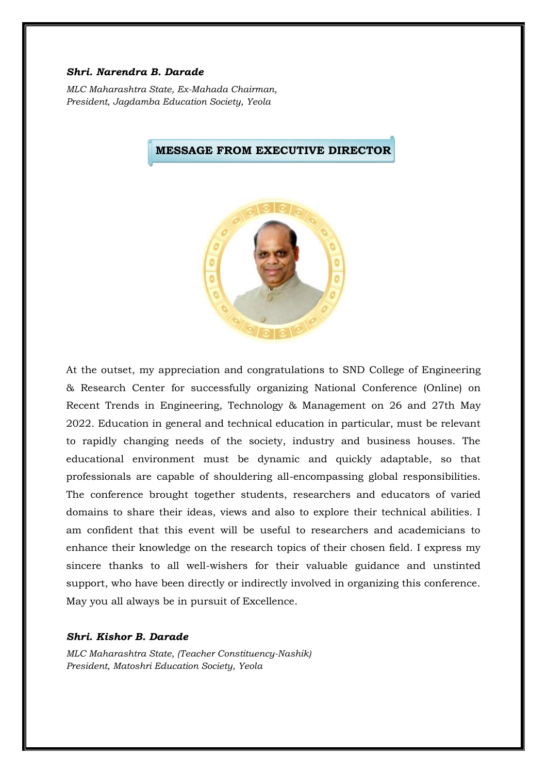#### *Shri. Narendra B. Darade*

*MLC Maharashtra State, Ex-Mahada Chairman, President, Jagdamba Education Society, Yeola*



**MESSAGE FROM EXECUTIVE DIRECTOR**

At the outset, my appreciation and congratulations to SND College of Engineering & Research Center for successfully organizing National Conference (Online) on Recent Trends in Engineering, Technology & Management on 26 and 27th May 2022. Education in general and technical education in particular, must be relevant to rapidly changing needs of the society, industry and business houses. The educational environment must be dynamic and quickly adaptable, so that professionals are capable of shouldering all-encompassing global responsibilities. The conference brought together students, researchers and educators of varied domains to share their ideas, views and also to explore their technical abilities. I am confident that this event will be useful to researchers and academicians to enhance their knowledge on the research topics of their chosen field. I express my sincere thanks to all well-wishers for their valuable guidance and unstinted support, who have been directly or indirectly involved in organizing this conference. May you all always be in pursuit of Excellence.

#### *Shri. Kishor B. Darade*

*MLC Maharashtra State, (Teacher Constituency-Nashik) President, Matoshri Education Society, Yeola*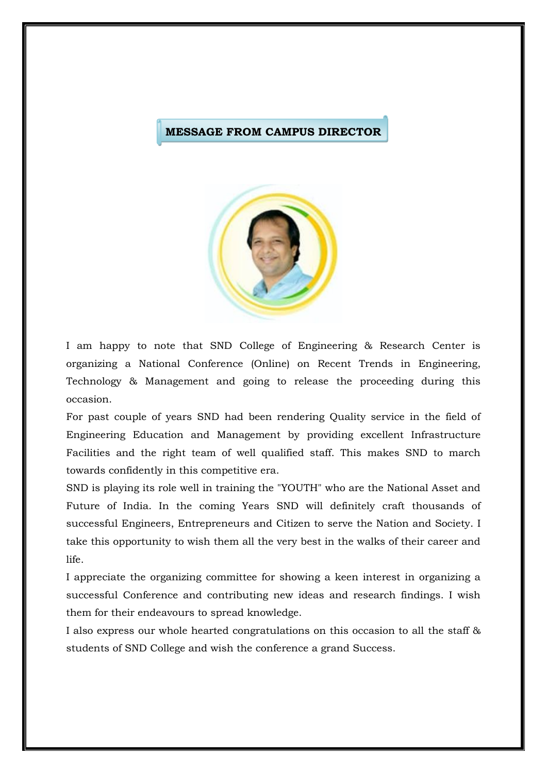#### **MESSAGE FROM CAMPUS DIRECTOR**



I am happy to note that SND College of Engineering & Research Center is organizing a National Conference (Online) on Recent Trends in Engineering, Technology & Management and going to release the proceeding during this occasion.

For past couple of years SND had been rendering Quality service in the field of Engineering Education and Management by providing excellent Infrastructure Facilities and the right team of well qualified staff. This makes SND to march towards confidently in this competitive era.

SND is playing its role well in training the "YOUTH" who are the National Asset and Future of India. In the coming Years SND will definitely craft thousands of successful Engineers, Entrepreneurs and Citizen to serve the Nation and Society. I take this opportunity to wish them all the very best in the walks of their career and life.

I appreciate the organizing committee for showing a keen interest in organizing a successful Conference and contributing new ideas and research findings. I wish them for their endeavours to spread knowledge.

I also express our whole hearted congratulations on this occasion to all the staff & students of SND College and wish the conference a grand Success.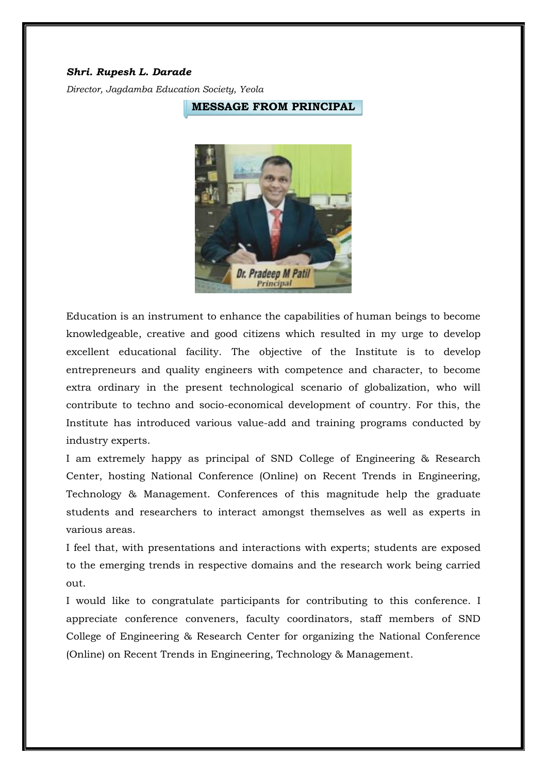#### *Shri. Rupesh L. Darade*

*Director, Jagdamba Education Society, Yeola*

**MESSAGE FROM PRINCIPAL**



Education is an instrument to enhance the capabilities of human beings to become knowledgeable, creative and good citizens which resulted in my urge to develop excellent educational facility. The objective of the Institute is to develop entrepreneurs and quality engineers with competence and character, to become extra ordinary in the present technological scenario of globalization, who will contribute to techno and socio-economical development of country. For this, the Institute has introduced various value-add and training programs conducted by industry experts.

I am extremely happy as principal of SND College of Engineering & Research Center, hosting National Conference (Online) on Recent Trends in Engineering, Technology & Management. Conferences of this magnitude help the graduate students and researchers to interact amongst themselves as well as experts in various areas.

I feel that, with presentations and interactions with experts; students are exposed to the emerging trends in respective domains and the research work being carried out.

I would like to congratulate participants for contributing to this conference. I appreciate conference conveners, faculty coordinators, staff members of SND College of Engineering & Research Center for organizing the National Conference (Online) on Recent Trends in Engineering, Technology & Management.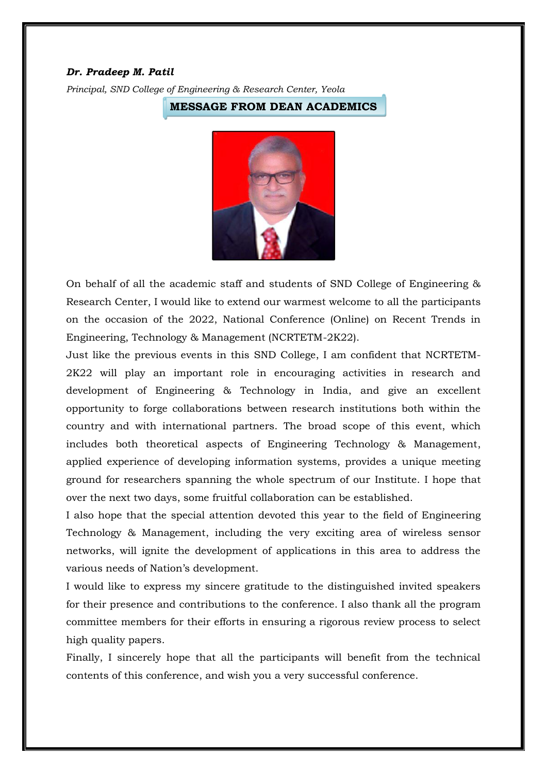#### *Dr. Pradeep M. Patil*

*Principal, SND College of Engineering & Research Center, Yeola*

**MESSAGE FROM DEAN ACADEMICS**



On behalf of all the academic staff and students of SND College of Engineering & Research Center, I would like to extend our warmest welcome to all the participants on the occasion of the 2022, National Conference (Online) on Recent Trends in Engineering, Technology & Management (NCRTETM-2K22).

Just like the previous events in this SND College, I am confident that NCRTETM-2K22 will play an important role in encouraging activities in research and development of Engineering & Technology in India, and give an excellent opportunity to forge collaborations between research institutions both within the country and with international partners. The broad scope of this event, which includes both theoretical aspects of Engineering Technology & Management, applied experience of developing information systems, provides a unique meeting ground for researchers spanning the whole spectrum of our Institute. I hope that over the next two days, some fruitful collaboration can be established.

I also hope that the special attention devoted this year to the field of Engineering Technology & Management, including the very exciting area of wireless sensor networks, will ignite the development of applications in this area to address the various needs of Nation's development.

I would like to express my sincere gratitude to the distinguished invited speakers for their presence and contributions to the conference. I also thank all the program committee members for their efforts in ensuring a rigorous review process to select high quality papers.

Finally, I sincerely hope that all the participants will benefit from the technical contents of this conference, and wish you a very successful conference.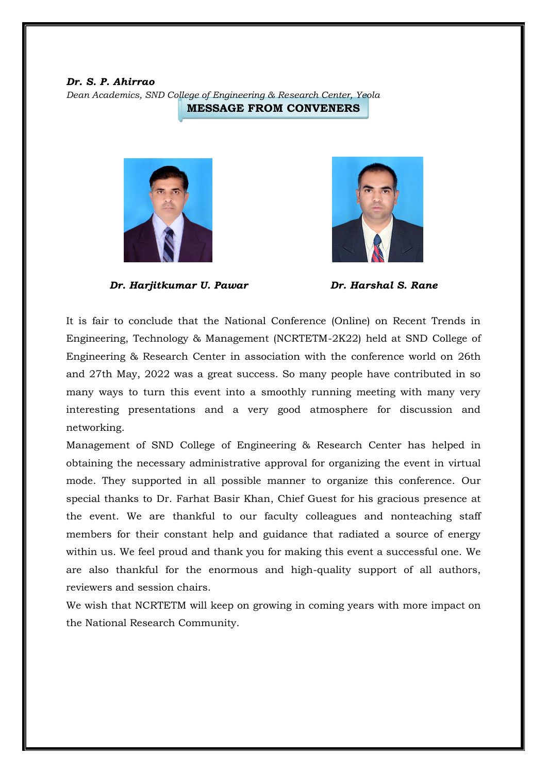*Dr. S. P. Ahirrao*

*Dean Academics, SND College of Engineering & Research Center, Yeola*

**MESSAGE FROM CONVENERS**



*Dr. Harjitkumar U. Pawar Dr. Harshal S. Rane*



It is fair to conclude that the National Conference (Online) on Recent Trends in Engineering, Technology & Management (NCRTETM-2K22) held at SND College of Engineering & Research Center in association with the conference world on 26th and 27th May, 2022 was a great success. So many people have contributed in so many ways to turn this event into a smoothly running meeting with many very interesting presentations and a very good atmosphere for discussion and networking.

Management of SND College of Engineering & Research Center has helped in obtaining the necessary administrative approval for organizing the event in virtual mode. They supported in all possible manner to organize this conference. Our special thanks to Dr. Farhat Basir Khan, Chief Guest for his gracious presence at the event. We are thankful to our faculty colleagues and nonteaching staff members for their constant help and guidance that radiated a source of energy within us. We feel proud and thank you for making this event a successful one. We are also thankful for the enormous and high-quality support of all authors, reviewers and session chairs.

We wish that NCRTETM will keep on growing in coming years with more impact on the National Research Community.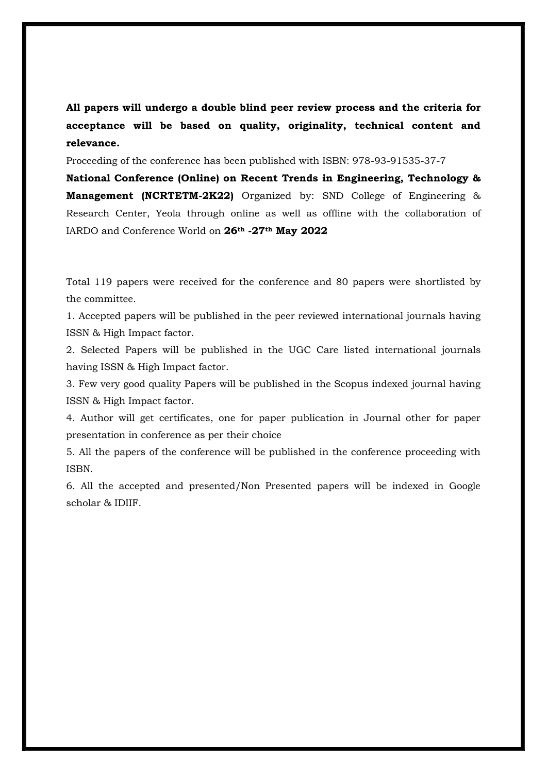**All papers will undergo a double blind peer review process and the criteria for acceptance will be based on quality, originality, technical content and relevance.**

Proceeding of the conference has been published with ISBN: 978-93-91535-37-7

**National Conference (Online) on Recent Trends in Engineering, Technology & Management (NCRTETM-2K22)** Organized by: SND College of Engineering & Research Center, Yeola through online as well as offline with the collaboration of IARDO and Conference World on **26th -27th May 2022**

Total 119 papers were received for the conference and 80 papers were shortlisted by the committee.

1. Accepted papers will be published in the peer reviewed international journals having ISSN & High Impact factor.

2. Selected Papers will be published in the UGC Care listed international journals having ISSN & High Impact factor.

3. Few very good quality Papers will be published in the Scopus indexed journal having ISSN & High Impact factor.

4. Author will get certificates, one for paper publication in Journal other for paper presentation in conference as per their choice

5. All the papers of the conference will be published in the conference proceeding with ISBN.

6. All the accepted and presented/Non Presented papers will be indexed in Google scholar & IDIIF.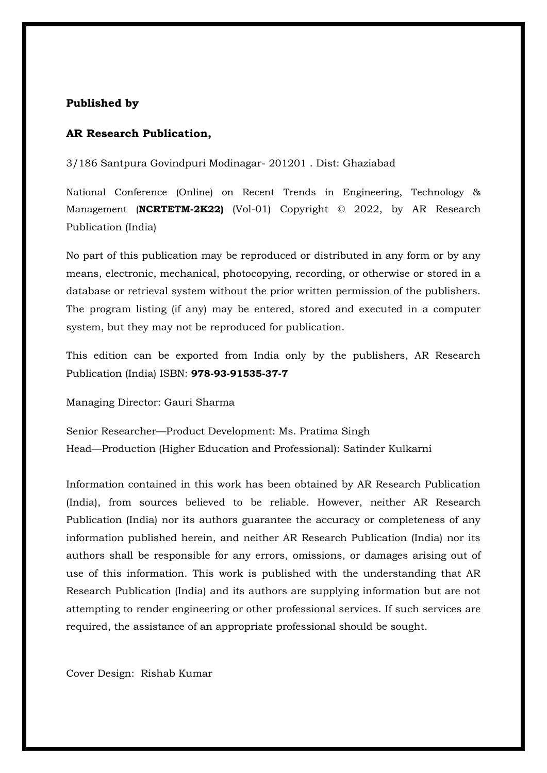#### **Published by**

#### **AR Research Publication,**

3/186 Santpura Govindpuri Modinagar- 201201 . Dist: Ghaziabad

National Conference (Online) on Recent Trends in Engineering, Technology & Management (**NCRTETM-2K22)** (Vol-01) Copyright © 2022, by AR Research Publication (India)

No part of this publication may be reproduced or distributed in any form or by any means, electronic, mechanical, photocopying, recording, or otherwise or stored in a database or retrieval system without the prior written permission of the publishers. The program listing (if any) may be entered, stored and executed in a computer system, but they may not be reproduced for publication.

This edition can be exported from India only by the publishers, AR Research Publication (India) ISBN: **978-93-91535-37-7**

Managing Director: Gauri Sharma

Senior Researcher—Product Development: Ms. Pratima Singh Head—Production (Higher Education and Professional): Satinder Kulkarni

Information contained in this work has been obtained by AR Research Publication (India), from sources believed to be reliable. However, neither AR Research Publication (India) nor its authors guarantee the accuracy or completeness of any information published herein, and neither AR Research Publication (India) nor its authors shall be responsible for any errors, omissions, or damages arising out of use of this information. This work is published with the understanding that AR Research Publication (India) and its authors are supplying information but are not attempting to render engineering or other professional services. If such services are required, the assistance of an appropriate professional should be sought.

Cover Design: Rishab Kumar